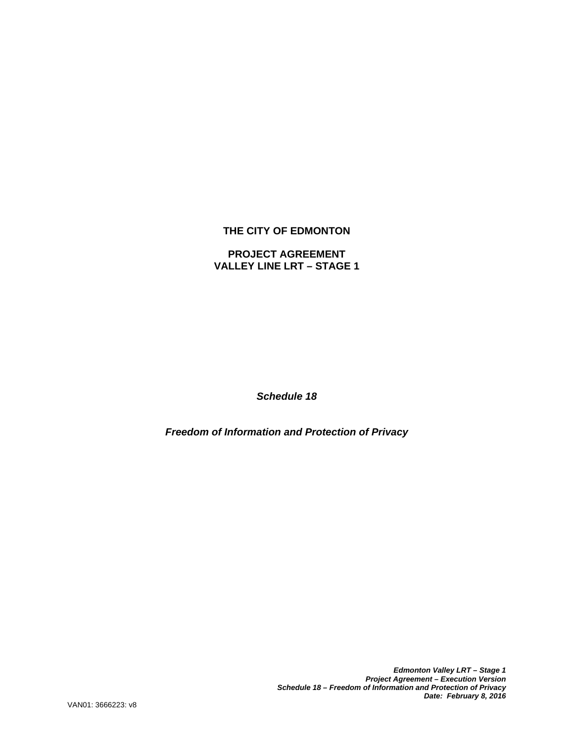# **THE CITY OF EDMONTON**

# **PROJECT AGREEMENT VALLEY LINE LRT – STAGE 1**

*Schedule 18* 

*Freedom of Information and Protection of Privacy* 

*Edmonton Valley LRT – Stage 1 Project Agreement – Execution Version Schedule 18 – Freedom of Information and Protection of Privacy Date: February 8, 2016*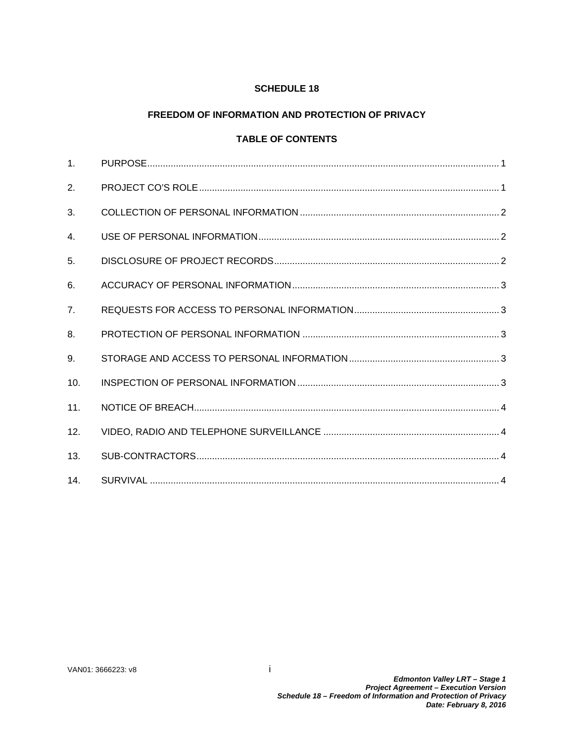# **SCHEDULE 18**

# **FREEDOM OF INFORMATION AND PROTECTION OF PRIVACY**

# **TABLE OF CONTENTS**

| $\mathbf{1}$ . |  |
|----------------|--|
| 2.             |  |
| 3.             |  |
| $\mathbf{4}$ . |  |
| 5 <sub>1</sub> |  |
| 6.             |  |
| 7 <sub>1</sub> |  |
| 8.             |  |
| 9.             |  |
| 10.            |  |
| 11.            |  |
| 12.            |  |
| 13.            |  |
| 14.            |  |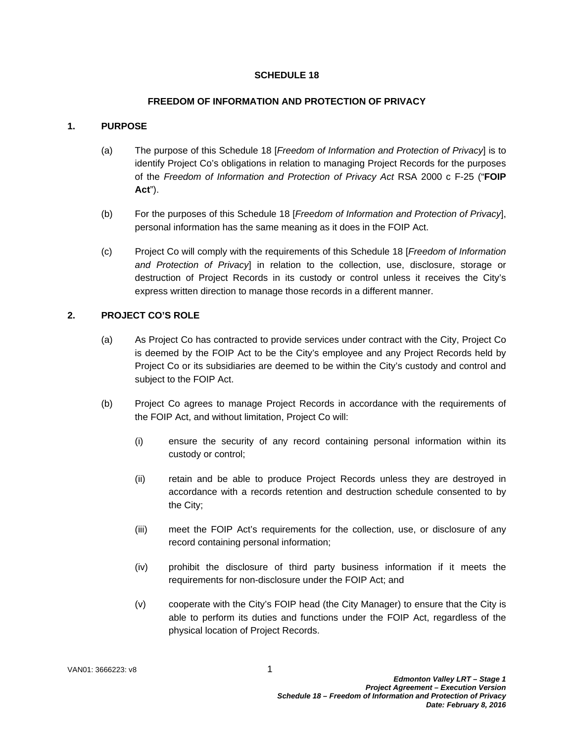## **SCHEDULE 18**

#### **FREEDOM OF INFORMATION AND PROTECTION OF PRIVACY**

### **1. PURPOSE**

- (a) The purpose of this Schedule 18 [*Freedom of Information and Protection of Privacy*] is to identify Project Co's obligations in relation to managing Project Records for the purposes of the *Freedom of Information and Protection of Privacy Act* RSA 2000 c F-25 ("**FOIP Act**").
- (b) For the purposes of this Schedule 18 [*Freedom of Information and Protection of Privacy*], personal information has the same meaning as it does in the FOIP Act.
- (c) Project Co will comply with the requirements of this Schedule 18 [*Freedom of Information and Protection of Privacy*] in relation to the collection, use, disclosure, storage or destruction of Project Records in its custody or control unless it receives the City's express written direction to manage those records in a different manner.

### **2. PROJECT CO'S ROLE**

- (a) As Project Co has contracted to provide services under contract with the City, Project Co is deemed by the FOIP Act to be the City's employee and any Project Records held by Project Co or its subsidiaries are deemed to be within the City's custody and control and subject to the FOIP Act.
- (b) Project Co agrees to manage Project Records in accordance with the requirements of the FOIP Act, and without limitation, Project Co will:
	- (i) ensure the security of any record containing personal information within its custody or control;
	- (ii) retain and be able to produce Project Records unless they are destroyed in accordance with a records retention and destruction schedule consented to by the City;
	- (iii) meet the FOIP Act's requirements for the collection, use, or disclosure of any record containing personal information;
	- (iv) prohibit the disclosure of third party business information if it meets the requirements for non-disclosure under the FOIP Act; and
	- (v) cooperate with the City's FOIP head (the City Manager) to ensure that the City is able to perform its duties and functions under the FOIP Act, regardless of the physical location of Project Records.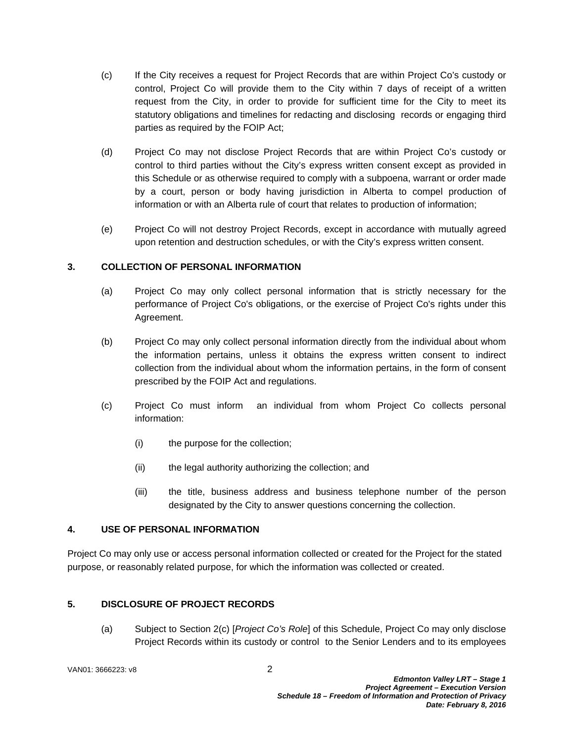- (c) If the City receives a request for Project Records that are within Project Co's custody or control, Project Co will provide them to the City within 7 days of receipt of a written request from the City, in order to provide for sufficient time for the City to meet its statutory obligations and timelines for redacting and disclosing records or engaging third parties as required by the FOIP Act;
- (d) Project Co may not disclose Project Records that are within Project Co's custody or control to third parties without the City's express written consent except as provided in this Schedule or as otherwise required to comply with a subpoena, warrant or order made by a court, person or body having jurisdiction in Alberta to compel production of information or with an Alberta rule of court that relates to production of information;
- (e) Project Co will not destroy Project Records, except in accordance with mutually agreed upon retention and destruction schedules, or with the City's express written consent.

## **3. COLLECTION OF PERSONAL INFORMATION**

- (a) Project Co may only collect personal information that is strictly necessary for the performance of Project Co's obligations, or the exercise of Project Co's rights under this Agreement.
- (b) Project Co may only collect personal information directly from the individual about whom the information pertains, unless it obtains the express written consent to indirect collection from the individual about whom the information pertains, in the form of consent prescribed by the FOIP Act and regulations.
- (c) Project Co must inform an individual from whom Project Co collects personal information:
	- (i) the purpose for the collection;
	- (ii) the legal authority authorizing the collection; and
	- (iii) the title, business address and business telephone number of the person designated by the City to answer questions concerning the collection.

## **4. USE OF PERSONAL INFORMATION**

Project Co may only use or access personal information collected or created for the Project for the stated purpose, or reasonably related purpose, for which the information was collected or created.

## **5. DISCLOSURE OF PROJECT RECORDS**

(a) Subject to Section 2(c) [*Project Co's Role*] of this Schedule, Project Co may only disclose Project Records within its custody or control to the Senior Lenders and to its employees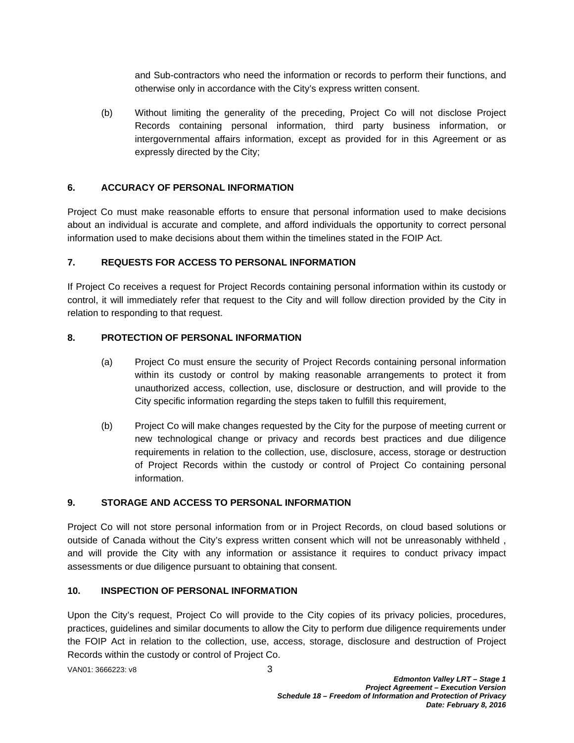and Sub-contractors who need the information or records to perform their functions, and otherwise only in accordance with the City's express written consent.

(b) Without limiting the generality of the preceding, Project Co will not disclose Project Records containing personal information, third party business information, or intergovernmental affairs information, except as provided for in this Agreement or as expressly directed by the City;

#### **6. ACCURACY OF PERSONAL INFORMATION**

Project Co must make reasonable efforts to ensure that personal information used to make decisions about an individual is accurate and complete, and afford individuals the opportunity to correct personal information used to make decisions about them within the timelines stated in the FOIP Act.

### **7. REQUESTS FOR ACCESS TO PERSONAL INFORMATION**

If Project Co receives a request for Project Records containing personal information within its custody or control, it will immediately refer that request to the City and will follow direction provided by the City in relation to responding to that request.

#### **8. PROTECTION OF PERSONAL INFORMATION**

- (a) Project Co must ensure the security of Project Records containing personal information within its custody or control by making reasonable arrangements to protect it from unauthorized access, collection, use, disclosure or destruction, and will provide to the City specific information regarding the steps taken to fulfill this requirement,
- (b) Project Co will make changes requested by the City for the purpose of meeting current or new technological change or privacy and records best practices and due diligence requirements in relation to the collection, use, disclosure, access, storage or destruction of Project Records within the custody or control of Project Co containing personal information.

#### **9. STORAGE AND ACCESS TO PERSONAL INFORMATION**

Project Co will not store personal information from or in Project Records, on cloud based solutions or outside of Canada without the City's express written consent which will not be unreasonably withheld , and will provide the City with any information or assistance it requires to conduct privacy impact assessments or due diligence pursuant to obtaining that consent.

# **10. INSPECTION OF PERSONAL INFORMATION**

Upon the City's request, Project Co will provide to the City copies of its privacy policies, procedures, practices, guidelines and similar documents to allow the City to perform due diligence requirements under the FOIP Act in relation to the collection, use, access, storage, disclosure and destruction of Project Records within the custody or control of Project Co.

VAN01: 3666223: v8 3